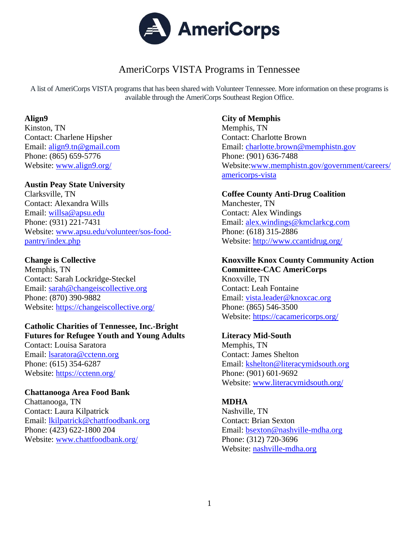

# AmeriCorps VISTA Programs in Tennessee

A list of AmeriCorps VISTA programsthat has been shared with Volunteer Tennessee. More information on these programs is available through the AmeriCorps Southeast Region Office.

#### **Align9**

Kinston, TN Contact: Charlene Hipsher Email: [align9.tn@gmail.com](mailto:align9.tn@gmail.com) Phone: (865) 659-5776 Website: [www.align9.org/](http://www.align9.org/)

## **Austin Peay State University**

Clarksville, TN Contact: Alexandra Wills Email: [willsa@apsu.edu](mailto:willsa@apsu.edu) Phone: (931) 221-7431 Website: [www.apsu.edu/volunteer/sos-food](https://www.apsu.edu/volunteer/sos-food-pantry/index.php)[pantry/index.php](https://www.apsu.edu/volunteer/sos-food-pantry/index.php)

### **Change is Collective**

Memphis, TN Contact: Sarah Lockridge-Steckel Email: [sarah@changeiscollective.org](mailto:sarah@changeiscollective.org) Phone: (870) 390-9882 Website:<https://changeiscollective.org/>

#### **Catholic Charities of Tennessee, Inc.-Bright Futures for Refugee Youth and Young Adults**

Contact: Louisa Saratora Email: [lsaratora@cctenn.org](mailto:lsaratora@cctenn.org) Phone: (615) 354-6287 Website: <https://cctenn.org/>

#### **Chattanooga Area Food Bank**

Chattanooga, TN Contact: Laura Kilpatrick Email: [lkilpatrick@chattfoodbank.org](mailto:lkilpatrick@chattfoodbank.org) Phone: (423) 622-1800 204 Website: [www.chattfoodbank.org/](http://www.chattfoodbank.org/)

### **City of Memphis**

Memphis, TN Contact: Charlotte Brown Email: [charlotte.brown@memphistn.gov](mailto:charlotte.brown@memphistn.gov) Phone: (901) 636-7488 Website[:www.memphistn.gov/government/careers/](http://www.memphistn.gov/government/careers/americorps-vista) [americorps-vista](http://www.memphistn.gov/government/careers/americorps-vista)

## **Coffee County Anti-Drug Coalition**

Manchester, TN Contact: Alex Windings Email: [alex.windings@kmclarkcg.com](mailto:alex.windings@kmclarkcg.com) Phone: (618) 315-2886 Website: <http://www.ccantidrug.org/>

# **Knoxville Knox County Community Action**

**Committee-CAC AmeriCorps**  Knoxville, TN Contact: Leah Fontaine Email: [vista.leader@knoxcac.org](mailto:vista.leader@knoxcac.org) Phone: (865) 546-3500 Website:<https://cacamericorps.org/>

#### **Literacy Mid-South**

Memphis, TN Contact: James Shelton Email: [kshelton@literacymidsouth.org](mailto:kshelton@literacymidsouth.org) Phone: (901) 601-9692 Website: [www.literacymidsouth.org/](http://www.literacymidsouth.org/)

## **MDHA**

Nashville, TN Contact: Brian Sexton Email: [bsexton@nashville-mdha.org](mailto:bsexton@nashville-mdha.org) Phone: (312) 720-3696 Website: [nashville-mdha.org](http://nashville-mdha.org/)